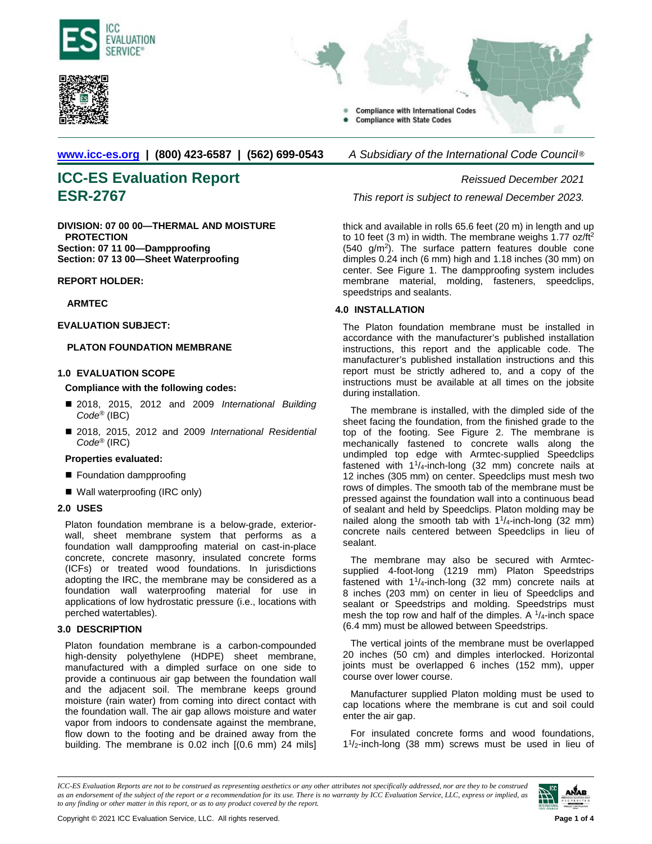



**Compliance with International Codes Compliance with State Codes** 

**[www.icc-es.org](http://www.icc-es.org/) | (800) 423-6587 | (562) 699-0543** *A Subsidiary of the International Code Council* ®

# **ICC-ES Evaluation Report** *Reissued December 2021* **ESR-2767** *This report is subject to renewal December 2023.*

**DIVISION: 07 00 00—THERMAL AND MOISTURE PROTECTION Section: 07 11 00—Dampproofing Section: 07 13 00—Sheet Waterproofing**

# **REPORT HOLDER:**

# **ARMTEC**

# **EVALUATION SUBJECT:**

# **PLATON FOUNDATION MEMBRANE**

# **1.0 EVALUATION SCOPE**

## **Compliance with the following codes:**

- 2018, 2015, 2012 and 2009 *International Building Code*® (IBC)
- 2018, 2015, 2012 and 2009 *International Residential Code*® (IRC)

### **Properties evaluated:**

- Foundation dampproofing
- Wall waterproofing (IRC only)

### **2.0 USES**

Platon foundation membrane is a below-grade, exteriorwall, sheet membrane system that performs as a foundation wall dampproofing material on cast-in-place concrete, concrete masonry, insulated concrete forms (ICFs) or treated wood foundations. In jurisdictions adopting the IRC, the membrane may be considered as a foundation wall waterproofing material for use in applications of low hydrostatic pressure (i.e., locations with perched watertables).

# **3.0 DESCRIPTION**

Platon foundation membrane is a carbon-compounded high-density polyethylene (HDPE) sheet membrane, manufactured with a dimpled surface on one side to provide a continuous air gap between the foundation wall and the adjacent soil. The membrane keeps ground moisture (rain water) from coming into direct contact with the foundation wall. The air gap allows moisture and water vapor from indoors to condensate against the membrane, flow down to the footing and be drained away from the building. The membrane is 0.02 inch [(0.6 mm) 24 mils]

thick and available in rolls 65.6 feet (20 m) in length and up to 10 feet (3 m) in width. The membrane weighs  $1.77$  oz/ft<sup>2</sup>  $(540 \text{ g/m}^2)$ . The surface pattern features double cone dimples 0.24 inch (6 mm) high and 1.18 inches (30 mm) on center. See Figure 1. The dampproofing system includes membrane material, molding, fasteners, speedclips, speedstrips and sealants.

# **4.0 INSTALLATION**

The Platon foundation membrane must be installed in accordance with the manufacturer's published installation instructions, this report and the applicable code. The manufacturer's published installation instructions and this report must be strictly adhered to, and a copy of the instructions must be available at all times on the jobsite during installation.

The membrane is installed, with the dimpled side of the sheet facing the foundation, from the finished grade to the top of the footing. See Figure 2. The membrane is mechanically fastened to concrete walls along the undimpled top edge with Armtec-supplied Speedclips fastened with  $1^{1}/_{4}$ -inch-long (32 mm) concrete nails at 12 inches (305 mm) on center. Speedclips must mesh two rows of dimples. The smooth tab of the membrane must be pressed against the foundation wall into a continuous bead of sealant and held by Speedclips. Platon molding may be nailed along the smooth tab with  $1\frac{1}{4}$ -inch-long (32 mm) concrete nails centered between Speedclips in lieu of sealant.

The membrane may also be secured with Armtecsupplied 4-foot-long (1219 mm) Platon Speedstrips fastened with  $1\frac{1}{4}$ -inch-long (32 mm) concrete nails at 8 inches (203 mm) on center in lieu of Speedclips and sealant or Speedstrips and molding. Speedstrips must mesh the top row and half of the dimples. A  $1/4$ -inch space (6.4 mm) must be allowed between Speedstrips.

The vertical joints of the membrane must be overlapped 20 inches (50 cm) and dimples interlocked. Horizontal joints must be overlapped 6 inches (152 mm), upper course over lower course.

Manufacturer supplied Platon molding must be used to cap locations where the membrane is cut and soil could enter the air gap.

For insulated concrete forms and wood foundations, 11/2-inch-long (38 mm) screws must be used in lieu of

*ICC-ES Evaluation Reports are not to be construed as representing aesthetics or any other attributes not specifically addressed, nor are they to be construed as an endorsement of the subject of the report or a recommendation for its use. There is no warranty by ICC Evaluation Service, LLC, express or implied, as to any finding or other matter in this report, or as to any product covered by the report.*

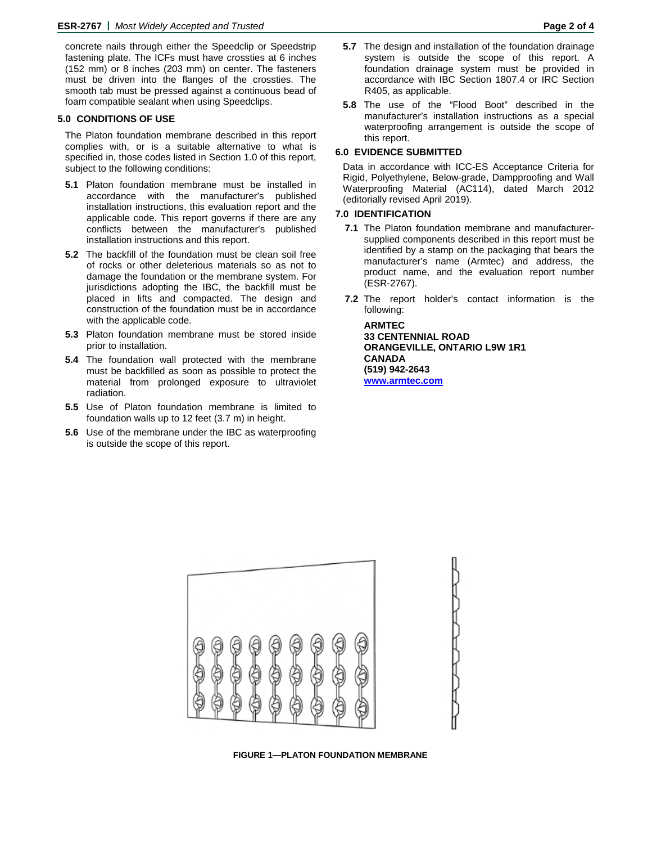concrete nails through either the Speedclip or Speedstrip fastening plate. The ICFs must have crossties at 6 inches (152 mm) or 8 inches (203 mm) on center. The fasteners must be driven into the flanges of the crossties. The smooth tab must be pressed against a continuous bead of foam compatible sealant when using Speedclips.

### **5.0 CONDITIONS OF USE**

The Platon foundation membrane described in this report complies with, or is a suitable alternative to what is specified in, those codes listed in Section 1.0 of this report, subject to the following conditions:

- **5.1** Platon foundation membrane must be installed in accordance with the manufacturer's published installation instructions, this evaluation report and the applicable code. This report governs if there are any conflicts between the manufacturer's published installation instructions and this report.
- **5.2** The backfill of the foundation must be clean soil free of rocks or other deleterious materials so as not to damage the foundation or the membrane system. For jurisdictions adopting the IBC, the backfill must be placed in lifts and compacted. The design and construction of the foundation must be in accordance with the applicable code.
- **5.3** Platon foundation membrane must be stored inside prior to installation.
- **5.4** The foundation wall protected with the membrane must be backfilled as soon as possible to protect the material from prolonged exposure to ultraviolet radiation.
- **5.5** Use of Platon foundation membrane is limited to foundation walls up to 12 feet (3.7 m) in height.
- **5.6** Use of the membrane under the IBC as waterproofing is outside the scope of this report.
- **5.7** The design and installation of the foundation drainage system is outside the scope of this report. A foundation drainage system must be provided in accordance with IBC Section 1807.4 or IRC Section R405, as applicable.
- **5.8** The use of the "Flood Boot" described in the manufacturer's installation instructions as a special waterproofing arrangement is outside the scope of this report.

## **6.0 EVIDENCE SUBMITTED**

Data in accordance with ICC-ES Acceptance Criteria for Rigid, Polyethylene, Below-grade, Dampproofing and Wall Waterproofing Material (AC114), dated March 2012 (editorially revised April 2019).

## **7.0 IDENTIFICATION**

- **7.1** The Platon foundation membrane and manufacturersupplied components described in this report must be identified by a stamp on the packaging that bears the manufacturer's name (Armtec) and address, the product name, and the evaluation report number (ESR-2767).
- **7.2** The report holder's contact information is the following:

**ARMTEC 33 CENTENNIAL ROAD ORANGEVILLE, ONTARIO L9W 1R1 CANADA (519) 942-2643 [www.armtec.com](http://www.armtec.com/)**



**FIGURE 1—PLATON FOUNDATION MEMBRANE**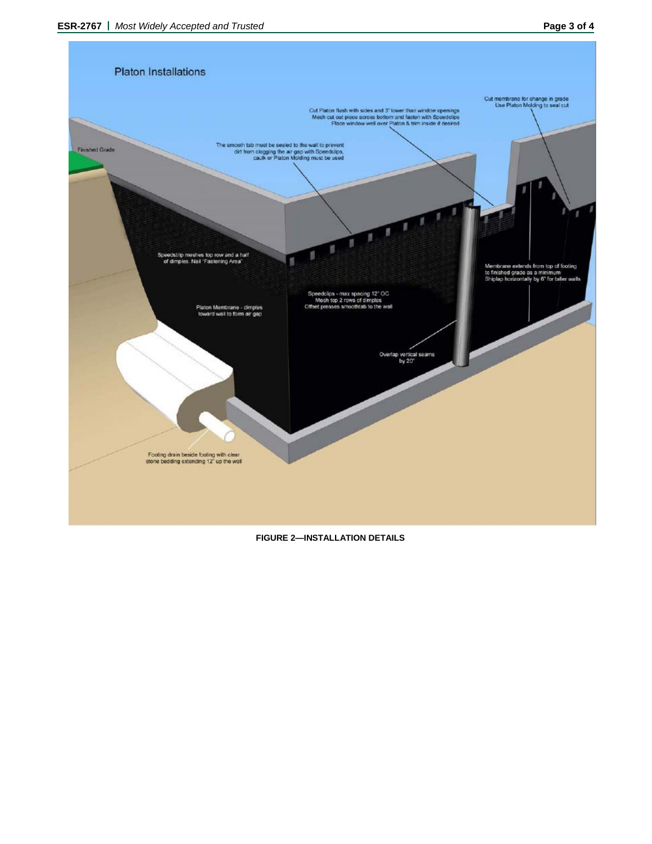

## **FIGURE 2—INSTALLATION DETAILS**